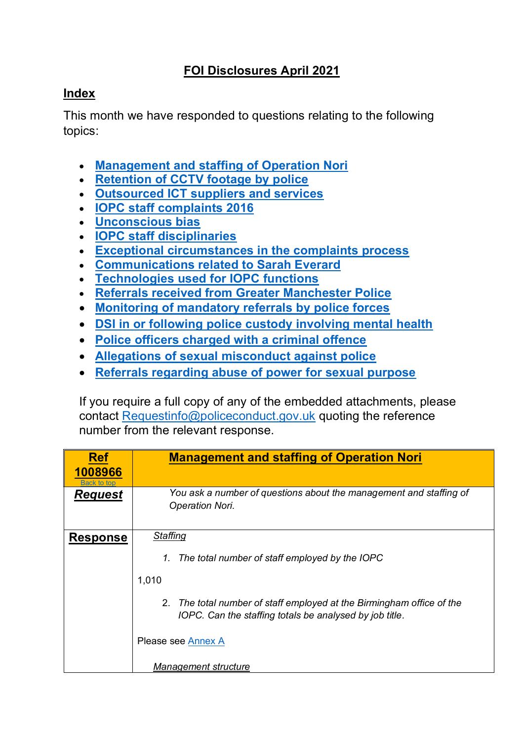## **FOI Disclosures April 2021**

## <span id="page-0-1"></span>**Index**

This month we have responded to questions relating to the following topics:

- **[Management and staffing of Operation Nori](#page-0-0)**
- **[Retention of CCTV footage by police](#page-2-0)**
- **[Outsourced ICT suppliers and services](#page-3-0)**
- **[IOPC staff complaints 2016](#page-4-0)**
- **[Unconscious bias](#page-4-1)**
- **[IOPC staff disciplinaries](#page-5-0)**
- **[Exceptional circumstances in the complaints process](#page-6-0)**
- **[Communications related to Sarah Everard](#page-9-0)**
- **[Technologies used for IOPC functions](#page-9-1)**
- **[Referrals received from Greater Manchester Police](#page-10-0)**
- **[Monitoring of mandatory referrals by police forces](#page-11-0)**
- **[DSI in or following police custody involving mental health](#page-12-0)**
- **[Police officers charged with a criminal offence](#page-13-0)**
- **[Allegations of sexual misconduct against police](#page-14-0)**
- **[Referrals regarding abuse of power for sexual purpose](#page-17-0)**

If you require a full copy of any of the embedded attachments, please contact [Requestinfo@policeconduct.gov.uk](mailto:Requestinfo@policeconduct.gov.uk) quoting the reference number from the relevant response.

<span id="page-0-0"></span>

| <b>Ref</b><br>1008966<br><b>Back to top</b> | <b>Management and staffing of Operation Nori</b>                                                                                 |  |
|---------------------------------------------|----------------------------------------------------------------------------------------------------------------------------------|--|
| <b>Request</b>                              | You ask a number of questions about the management and staffing of<br><b>Operation Nori.</b>                                     |  |
| <b>Response</b>                             | Staffing                                                                                                                         |  |
|                                             | 1. The total number of staff employed by the IOPC                                                                                |  |
|                                             | 1,010                                                                                                                            |  |
|                                             | 2. The total number of staff employed at the Birmingham office of the<br>IOPC. Can the staffing totals be analysed by job title. |  |
|                                             | Please see Annex A                                                                                                               |  |
|                                             | <b>Management structure</b>                                                                                                      |  |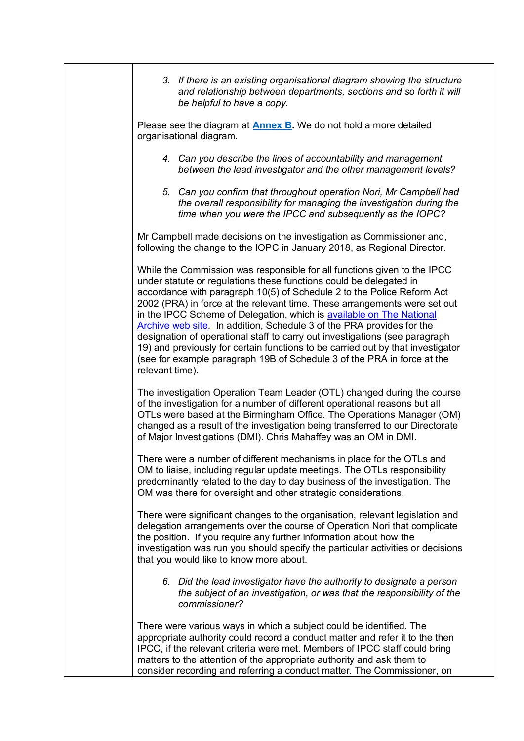| 3. If there is an existing organisational diagram showing the structure<br>and relationship between departments, sections and so forth it will<br>be helpful to have a copy.                                                                                                                                                                                                                                                                                                                                                                                                                                                                                                                                           |
|------------------------------------------------------------------------------------------------------------------------------------------------------------------------------------------------------------------------------------------------------------------------------------------------------------------------------------------------------------------------------------------------------------------------------------------------------------------------------------------------------------------------------------------------------------------------------------------------------------------------------------------------------------------------------------------------------------------------|
| Please see the diagram at <b>Annex B</b> . We do not hold a more detailed<br>organisational diagram.                                                                                                                                                                                                                                                                                                                                                                                                                                                                                                                                                                                                                   |
| 4. Can you describe the lines of accountability and management<br>between the lead investigator and the other management levels?                                                                                                                                                                                                                                                                                                                                                                                                                                                                                                                                                                                       |
| 5. Can you confirm that throughout operation Nori, Mr Campbell had<br>the overall responsibility for managing the investigation during the<br>time when you were the IPCC and subsequently as the IOPC?                                                                                                                                                                                                                                                                                                                                                                                                                                                                                                                |
| Mr Campbell made decisions on the investigation as Commissioner and,<br>following the change to the IOPC in January 2018, as Regional Director.                                                                                                                                                                                                                                                                                                                                                                                                                                                                                                                                                                        |
| While the Commission was responsible for all functions given to the IPCC<br>under statute or regulations these functions could be delegated in<br>accordance with paragraph 10(5) of Schedule 2 to the Police Reform Act<br>2002 (PRA) in force at the relevant time. These arrangements were set out<br>in the IPCC Scheme of Delegation, which is available on The National<br>Archive web site. In addition, Schedule 3 of the PRA provides for the<br>designation of operational staff to carry out investigations (see paragraph<br>19) and previously for certain functions to be carried out by that investigator<br>(see for example paragraph 19B of Schedule 3 of the PRA in force at the<br>relevant time). |
| The investigation Operation Team Leader (OTL) changed during the course<br>of the investigation for a number of different operational reasons but all<br>OTLs were based at the Birmingham Office. The Operations Manager (OM)<br>changed as a result of the investigation being transferred to our Directorate<br>of Major Investigations (DMI). Chris Mahaffey was an OM in DMI.                                                                                                                                                                                                                                                                                                                                     |
| There were a number of different mechanisms in place for the OTLs and<br>OM to liaise, including regular update meetings. The OTLs responsibility<br>predominantly related to the day to day business of the investigation. The<br>OM was there for oversight and other strategic considerations.                                                                                                                                                                                                                                                                                                                                                                                                                      |
| There were significant changes to the organisation, relevant legislation and<br>delegation arrangements over the course of Operation Nori that complicate<br>the position. If you require any further information about how the<br>investigation was run you should specify the particular activities or decisions<br>that you would like to know more about.                                                                                                                                                                                                                                                                                                                                                          |
| 6. Did the lead investigator have the authority to designate a person<br>the subject of an investigation, or was that the responsibility of the<br>commissioner?                                                                                                                                                                                                                                                                                                                                                                                                                                                                                                                                                       |
| There were various ways in which a subject could be identified. The<br>appropriate authority could record a conduct matter and refer it to the then<br>IPCC, if the relevant criteria were met. Members of IPCC staff could bring<br>matters to the attention of the appropriate authority and ask them to<br>consider recording and referring a conduct matter. The Commissioner, on                                                                                                                                                                                                                                                                                                                                  |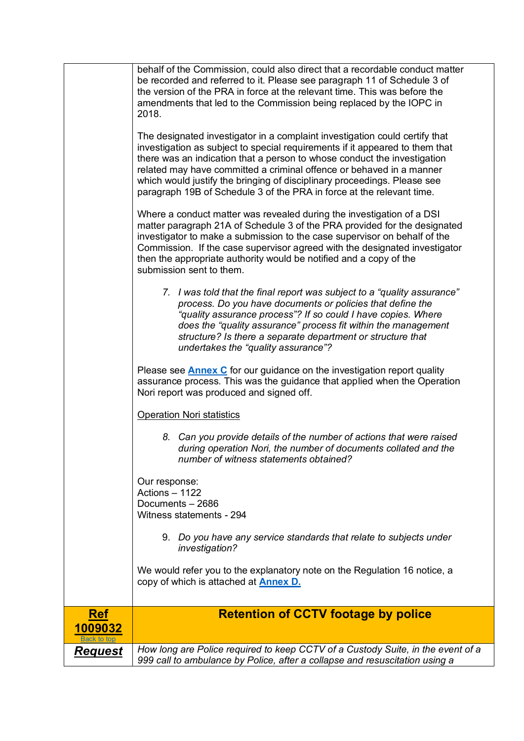<span id="page-2-0"></span>

| <b>Request</b>        | How long are Police required to keep CCTV of a Custody Suite, in the event of a<br>999 call to ambulance by Police, after a collapse and resuscitation using a                                                                                                                                                                                                                                                                                                       |
|-----------------------|----------------------------------------------------------------------------------------------------------------------------------------------------------------------------------------------------------------------------------------------------------------------------------------------------------------------------------------------------------------------------------------------------------------------------------------------------------------------|
| <b>Ref</b><br>1009032 | <b>Retention of CCTV footage by police</b>                                                                                                                                                                                                                                                                                                                                                                                                                           |
|                       | We would refer you to the explanatory note on the Regulation 16 notice, a<br>copy of which is attached at <b>Annex D.</b>                                                                                                                                                                                                                                                                                                                                            |
|                       | 9. Do you have any service standards that relate to subjects under<br>investigation?                                                                                                                                                                                                                                                                                                                                                                                 |
|                       | Our response:<br>Actions - 1122<br>Documents - 2686<br>Witness statements - 294                                                                                                                                                                                                                                                                                                                                                                                      |
|                       | 8. Can you provide details of the number of actions that were raised<br>during operation Nori, the number of documents collated and the<br>number of witness statements obtained?                                                                                                                                                                                                                                                                                    |
|                       | <b>Operation Nori statistics</b>                                                                                                                                                                                                                                                                                                                                                                                                                                     |
|                       | Please see <b>Annex C</b> for our guidance on the investigation report quality<br>assurance process. This was the guidance that applied when the Operation<br>Nori report was produced and signed off.                                                                                                                                                                                                                                                               |
|                       | 7. I was told that the final report was subject to a "quality assurance"<br>process. Do you have documents or policies that define the<br>"quality assurance process"? If so could I have copies. Where<br>does the "quality assurance" process fit within the management<br>structure? Is there a separate department or structure that<br>undertakes the "quality assurance"?                                                                                      |
|                       | Where a conduct matter was revealed during the investigation of a DSI<br>matter paragraph 21A of Schedule 3 of the PRA provided for the designated<br>investigator to make a submission to the case supervisor on behalf of the<br>Commission. If the case supervisor agreed with the designated investigator<br>then the appropriate authority would be notified and a copy of the<br>submission sent to them.                                                      |
|                       | The designated investigator in a complaint investigation could certify that<br>investigation as subject to special requirements if it appeared to them that<br>there was an indication that a person to whose conduct the investigation<br>related may have committed a criminal offence or behaved in a manner<br>which would justify the bringing of disciplinary proceedings. Please see<br>paragraph 19B of Schedule 3 of the PRA in force at the relevant time. |
|                       | behalf of the Commission, could also direct that a recordable conduct matter<br>be recorded and referred to it. Please see paragraph 11 of Schedule 3 of<br>the version of the PRA in force at the relevant time. This was before the<br>amendments that led to the Commission being replaced by the IOPC in<br>2018.                                                                                                                                                |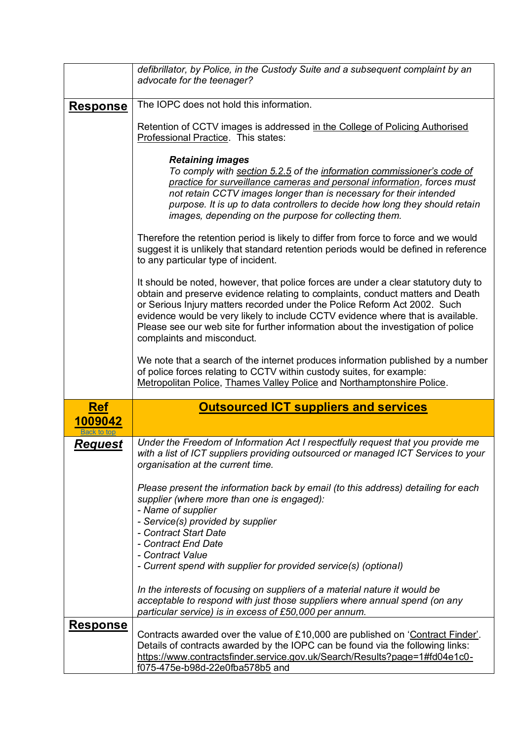<span id="page-3-0"></span>

|                                      | defibrillator, by Police, in the Custody Suite and a subsequent complaint by an<br>advocate for the teenager?                                                                                                                                                                                                                                                                                                                                            |  |  |  |
|--------------------------------------|----------------------------------------------------------------------------------------------------------------------------------------------------------------------------------------------------------------------------------------------------------------------------------------------------------------------------------------------------------------------------------------------------------------------------------------------------------|--|--|--|
| <u>Response</u>                      | The IOPC does not hold this information.                                                                                                                                                                                                                                                                                                                                                                                                                 |  |  |  |
|                                      | Retention of CCTV images is addressed in the College of Policing Authorised<br>Professional Practice. This states:                                                                                                                                                                                                                                                                                                                                       |  |  |  |
|                                      | <b>Retaining images</b><br>To comply with section 5.2.5 of the information commissioner's code of<br>practice for surveillance cameras and personal information, forces must<br>not retain CCTV images longer than is necessary for their intended<br>purpose. It is up to data controllers to decide how long they should retain<br>images, depending on the purpose for collecting them.                                                               |  |  |  |
|                                      | Therefore the retention period is likely to differ from force to force and we would<br>suggest it is unlikely that standard retention periods would be defined in reference<br>to any particular type of incident.                                                                                                                                                                                                                                       |  |  |  |
|                                      | It should be noted, however, that police forces are under a clear statutory duty to<br>obtain and preserve evidence relating to complaints, conduct matters and Death<br>or Serious Injury matters recorded under the Police Reform Act 2002. Such<br>evidence would be very likely to include CCTV evidence where that is available.<br>Please see our web site for further information about the investigation of police<br>complaints and misconduct. |  |  |  |
|                                      | We note that a search of the internet produces information published by a number<br>of police forces relating to CCTV within custody suites, for example:<br>Metropolitan Police, Thames Valley Police and Northamptonshire Police.                                                                                                                                                                                                                      |  |  |  |
| <b>Ref</b><br>1009042<br>Back to top | <b>Outsourced ICT suppliers and services</b>                                                                                                                                                                                                                                                                                                                                                                                                             |  |  |  |
| Request                              | Under the Freedom of Information Act I respectfully request that you provide me<br>with a list of ICT suppliers providing outsourced or managed ICT Services to your<br>organisation at the current time.                                                                                                                                                                                                                                                |  |  |  |
|                                      | Please present the information back by email (to this address) detailing for each<br>supplier (where more than one is engaged):<br>- Name of supplier<br>- Service(s) provided by supplier                                                                                                                                                                                                                                                               |  |  |  |
|                                      | - Contract Start Date                                                                                                                                                                                                                                                                                                                                                                                                                                    |  |  |  |
|                                      | - Contract End Date<br>- Contract Value                                                                                                                                                                                                                                                                                                                                                                                                                  |  |  |  |
|                                      | - Current spend with supplier for provided service(s) (optional)                                                                                                                                                                                                                                                                                                                                                                                         |  |  |  |
|                                      | In the interests of focusing on suppliers of a material nature it would be<br>acceptable to respond with just those suppliers where annual spend (on any<br>particular service) is in excess of £50,000 per annum.                                                                                                                                                                                                                                       |  |  |  |
| <b>Response</b>                      | Contracts awarded over the value of £10,000 are published on 'Contract Finder'.<br>Details of contracts awarded by the IOPC can be found via the following links:<br>https://www.contractsfinder.service.gov.uk/Search/Results?page=1#fd04e1c0-<br>f075-475e-b98d-22e0fba578b5 and                                                                                                                                                                       |  |  |  |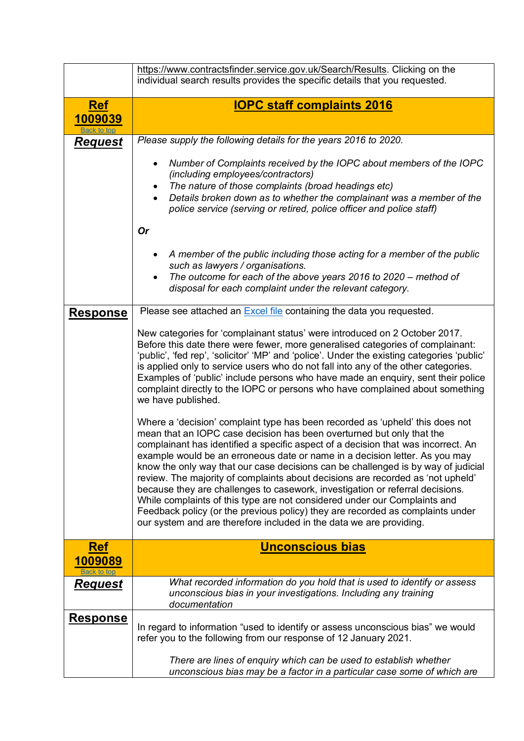<span id="page-4-1"></span><span id="page-4-0"></span>

|                                      | https://www.contractsfinder.service.gov.uk/Search/Results. Clicking on the<br>individual search results provides the specific details that you requested.                                                                                                                                                                                                                                                                                                                                                                                                                                                                                                                                                                                                                                                                 |  |  |  |
|--------------------------------------|---------------------------------------------------------------------------------------------------------------------------------------------------------------------------------------------------------------------------------------------------------------------------------------------------------------------------------------------------------------------------------------------------------------------------------------------------------------------------------------------------------------------------------------------------------------------------------------------------------------------------------------------------------------------------------------------------------------------------------------------------------------------------------------------------------------------------|--|--|--|
| <b>Ref</b><br>1009039<br>Back to top | <b>IOPC staff complaints 2016</b>                                                                                                                                                                                                                                                                                                                                                                                                                                                                                                                                                                                                                                                                                                                                                                                         |  |  |  |
| <u>Request</u>                       | Please supply the following details for the years 2016 to 2020.                                                                                                                                                                                                                                                                                                                                                                                                                                                                                                                                                                                                                                                                                                                                                           |  |  |  |
|                                      | Number of Complaints received by the IOPC about members of the IOPC<br>$\bullet$<br>(including employees/contractors)<br>The nature of those complaints (broad headings etc)<br>$\bullet$<br>Details broken down as to whether the complainant was a member of the<br>police service (serving or retired, police officer and police staff)<br><b>Or</b>                                                                                                                                                                                                                                                                                                                                                                                                                                                                   |  |  |  |
|                                      | A member of the public including those acting for a member of the public<br>such as lawyers / organisations.<br>The outcome for each of the above years 2016 to 2020 - method of<br>disposal for each complaint under the relevant category.                                                                                                                                                                                                                                                                                                                                                                                                                                                                                                                                                                              |  |  |  |
|                                      |                                                                                                                                                                                                                                                                                                                                                                                                                                                                                                                                                                                                                                                                                                                                                                                                                           |  |  |  |
| <u>Response</u>                      | Please see attached an Excel file containing the data you requested.                                                                                                                                                                                                                                                                                                                                                                                                                                                                                                                                                                                                                                                                                                                                                      |  |  |  |
|                                      | New categories for 'complainant status' were introduced on 2 October 2017.<br>Before this date there were fewer, more generalised categories of complainant:<br>'public', 'fed rep', 'solicitor' 'MP' and 'police'. Under the existing categories 'public'<br>is applied only to service users who do not fall into any of the other categories.<br>Examples of 'public' include persons who have made an enquiry, sent their police<br>complaint directly to the IOPC or persons who have complained about something<br>we have published.                                                                                                                                                                                                                                                                               |  |  |  |
|                                      | Where a 'decision' complaint type has been recorded as 'upheld' this does not<br>mean that an IOPC case decision has been overturned but only that the<br>complainant has identified a specific aspect of a decision that was incorrect. An<br>example would be an erroneous date or name in a decision letter. As you may<br>know the only way that our case decisions can be challenged is by way of judicial<br>review. The majority of complaints about decisions are recorded as 'not upheld'<br>because they are challenges to casework, investigation or referral decisions.<br>While complaints of this type are not considered under our Complaints and<br>Feedback policy (or the previous policy) they are recorded as complaints under<br>our system and are therefore included in the data we are providing. |  |  |  |
| <b>Ref</b>                           | <b>Unconscious bias</b>                                                                                                                                                                                                                                                                                                                                                                                                                                                                                                                                                                                                                                                                                                                                                                                                   |  |  |  |
| 1009089                              |                                                                                                                                                                                                                                                                                                                                                                                                                                                                                                                                                                                                                                                                                                                                                                                                                           |  |  |  |
| <u>Request</u>                       | What recorded information do you hold that is used to identify or assess<br>unconscious bias in your investigations. Including any training<br>documentation                                                                                                                                                                                                                                                                                                                                                                                                                                                                                                                                                                                                                                                              |  |  |  |
| <b>Response</b>                      | In regard to information "used to identify or assess unconscious bias" we would<br>refer you to the following from our response of 12 January 2021.                                                                                                                                                                                                                                                                                                                                                                                                                                                                                                                                                                                                                                                                       |  |  |  |
|                                      | There are lines of enquiry which can be used to establish whether<br>unconscious bias may be a factor in a particular case some of which are                                                                                                                                                                                                                                                                                                                                                                                                                                                                                                                                                                                                                                                                              |  |  |  |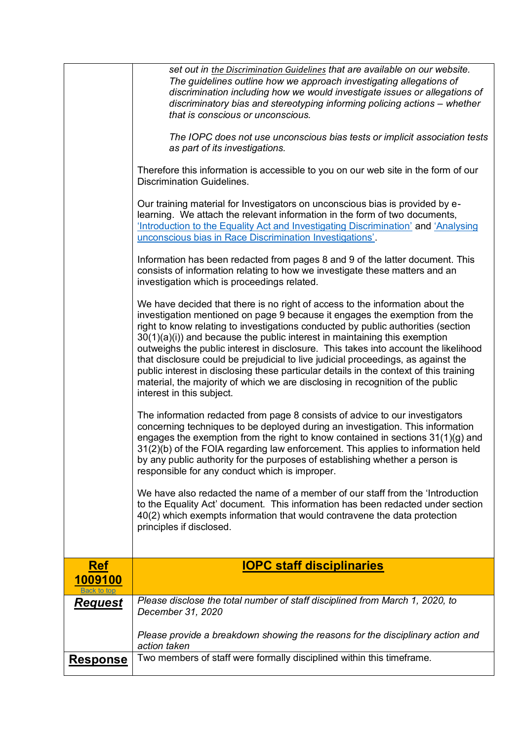<span id="page-5-0"></span>

|                               | set out in the Discrimination Guidelines that are available on our website.<br>The guidelines outline how we approach investigating allegations of<br>discrimination including how we would investigate issues or allegations of<br>discriminatory bias and stereotyping informing policing actions – whether<br>that is conscious or unconscious.<br>The IOPC does not use unconscious bias tests or implicit association tests<br>as part of its investigations.<br>Therefore this information is accessible to you on our web site in the form of our<br><b>Discrimination Guidelines.</b><br>Our training material for Investigators on unconscious bias is provided by e-<br>learning. We attach the relevant information in the form of two documents,<br>'Introduction to the Equality Act and Investigating Discrimination' and 'Analysing<br>unconscious bias in Race Discrimination Investigations'.<br>Information has been redacted from pages 8 and 9 of the latter document. This<br>consists of information relating to how we investigate these matters and an<br>investigation which is proceedings related.<br>We have decided that there is no right of access to the information about the<br>investigation mentioned on page 9 because it engages the exemption from the<br>right to know relating to investigations conducted by public authorities (section<br>$30(1)(a)(i)$ and because the public interest in maintaining this exemption<br>outweighs the public interest in disclosure. This takes into account the likelihood<br>that disclosure could be prejudicial to live judicial proceedings, as against the<br>public interest in disclosing these particular details in the context of this training<br>material, the majority of which we are disclosing in recognition of the public<br>interest in this subject.<br>The information redacted from page 8 consists of advice to our investigators<br>concerning techniques to be deployed during an investigation. This information<br>engages the exemption from the right to know contained in sections 31(1)(g) and<br>31(2)(b) of the FOIA regarding law enforcement. This applies to information held<br>by any public authority for the purposes of establishing whether a person is<br>responsible for any conduct which is improper.<br>We have also redacted the name of a member of our staff from the 'Introduction<br>to the Equality Act' document. This information has been redacted under section<br>40(2) which exempts information that would contravene the data protection |
|-------------------------------|-------------------------------------------------------------------------------------------------------------------------------------------------------------------------------------------------------------------------------------------------------------------------------------------------------------------------------------------------------------------------------------------------------------------------------------------------------------------------------------------------------------------------------------------------------------------------------------------------------------------------------------------------------------------------------------------------------------------------------------------------------------------------------------------------------------------------------------------------------------------------------------------------------------------------------------------------------------------------------------------------------------------------------------------------------------------------------------------------------------------------------------------------------------------------------------------------------------------------------------------------------------------------------------------------------------------------------------------------------------------------------------------------------------------------------------------------------------------------------------------------------------------------------------------------------------------------------------------------------------------------------------------------------------------------------------------------------------------------------------------------------------------------------------------------------------------------------------------------------------------------------------------------------------------------------------------------------------------------------------------------------------------------------------------------------------------------------------------------------------------------------------------------------------------------------------------------------------------------------------------------------------------------------------------------------------------------------------------------------------------------------------------------------------------------------------------------------------------------------------------------------------------------------------------------------------------------------------|
|                               | principles if disclosed.                                                                                                                                                                                                                                                                                                                                                                                                                                                                                                                                                                                                                                                                                                                                                                                                                                                                                                                                                                                                                                                                                                                                                                                                                                                                                                                                                                                                                                                                                                                                                                                                                                                                                                                                                                                                                                                                                                                                                                                                                                                                                                                                                                                                                                                                                                                                                                                                                                                                                                                                                            |
| <u>Ref</u>                    | <b>IOPC staff disciplinaries</b>                                                                                                                                                                                                                                                                                                                                                                                                                                                                                                                                                                                                                                                                                                                                                                                                                                                                                                                                                                                                                                                                                                                                                                                                                                                                                                                                                                                                                                                                                                                                                                                                                                                                                                                                                                                                                                                                                                                                                                                                                                                                                                                                                                                                                                                                                                                                                                                                                                                                                                                                                    |
| 1009100<br><b>Back to top</b> |                                                                                                                                                                                                                                                                                                                                                                                                                                                                                                                                                                                                                                                                                                                                                                                                                                                                                                                                                                                                                                                                                                                                                                                                                                                                                                                                                                                                                                                                                                                                                                                                                                                                                                                                                                                                                                                                                                                                                                                                                                                                                                                                                                                                                                                                                                                                                                                                                                                                                                                                                                                     |
| <u>Request</u>                | Please disclose the total number of staff disciplined from March 1, 2020, to<br>December 31, 2020                                                                                                                                                                                                                                                                                                                                                                                                                                                                                                                                                                                                                                                                                                                                                                                                                                                                                                                                                                                                                                                                                                                                                                                                                                                                                                                                                                                                                                                                                                                                                                                                                                                                                                                                                                                                                                                                                                                                                                                                                                                                                                                                                                                                                                                                                                                                                                                                                                                                                   |
|                               |                                                                                                                                                                                                                                                                                                                                                                                                                                                                                                                                                                                                                                                                                                                                                                                                                                                                                                                                                                                                                                                                                                                                                                                                                                                                                                                                                                                                                                                                                                                                                                                                                                                                                                                                                                                                                                                                                                                                                                                                                                                                                                                                                                                                                                                                                                                                                                                                                                                                                                                                                                                     |
|                               | Please provide a breakdown showing the reasons for the disciplinary action and<br>action taken                                                                                                                                                                                                                                                                                                                                                                                                                                                                                                                                                                                                                                                                                                                                                                                                                                                                                                                                                                                                                                                                                                                                                                                                                                                                                                                                                                                                                                                                                                                                                                                                                                                                                                                                                                                                                                                                                                                                                                                                                                                                                                                                                                                                                                                                                                                                                                                                                                                                                      |
| <u>Response</u>               | Two members of staff were formally disciplined within this timeframe.                                                                                                                                                                                                                                                                                                                                                                                                                                                                                                                                                                                                                                                                                                                                                                                                                                                                                                                                                                                                                                                                                                                                                                                                                                                                                                                                                                                                                                                                                                                                                                                                                                                                                                                                                                                                                                                                                                                                                                                                                                                                                                                                                                                                                                                                                                                                                                                                                                                                                                               |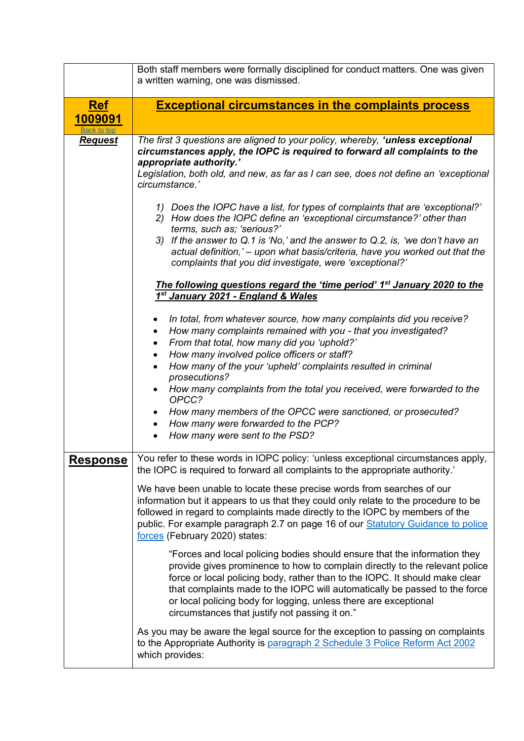<span id="page-6-0"></span>

|                                                                                                                                                                                                                                                                                                                                                                     | Both staff members were formally disciplined for conduct matters. One was given<br>a written warning, one was dismissed.                                                                                                                                                                                                                                                                                                                    |  |  |  |
|---------------------------------------------------------------------------------------------------------------------------------------------------------------------------------------------------------------------------------------------------------------------------------------------------------------------------------------------------------------------|---------------------------------------------------------------------------------------------------------------------------------------------------------------------------------------------------------------------------------------------------------------------------------------------------------------------------------------------------------------------------------------------------------------------------------------------|--|--|--|
| <b>Ref</b><br>1009091<br>Back to top                                                                                                                                                                                                                                                                                                                                | <b>Exceptional circumstances in the complaints process</b>                                                                                                                                                                                                                                                                                                                                                                                  |  |  |  |
| <b>Request</b>                                                                                                                                                                                                                                                                                                                                                      | The first 3 questions are aligned to your policy, whereby, 'unless exceptional<br>circumstances apply, the IOPC is required to forward all complaints to the<br>appropriate authority.'<br>Legislation, both old, and new, as far as I can see, does not define an 'exceptional<br>circumstance.'                                                                                                                                           |  |  |  |
|                                                                                                                                                                                                                                                                                                                                                                     | 1) Does the IOPC have a list, for types of complaints that are 'exceptional?'<br>2) How does the IOPC define an 'exceptional circumstance?' other than<br>terms, such as; 'serious?'<br>3) If the answer to Q.1 is 'No,' and the answer to Q.2, is, 'we don't have an<br>actual definition,' - upon what basis/criteria, have you worked out that the<br>complaints that you did investigate, were 'exceptional?'                           |  |  |  |
|                                                                                                                                                                                                                                                                                                                                                                     | The following questions regard the 'time period' 1 <sup>st</sup> January 2020 to the<br>1 <sup>st</sup> January 2021 - England & Wales                                                                                                                                                                                                                                                                                                      |  |  |  |
|                                                                                                                                                                                                                                                                                                                                                                     | In total, from whatever source, how many complaints did you receive?<br>$\bullet$<br>How many complaints remained with you - that you investigated?<br>$\bullet$<br>From that total, how many did you 'uphold?'<br>$\bullet$<br>How many involved police officers or staff?<br>$\bullet$<br>How many of the your 'upheld' complaints resulted in criminal<br>prosecutions?                                                                  |  |  |  |
|                                                                                                                                                                                                                                                                                                                                                                     | How many complaints from the total you received, were forwarded to the<br>OPCC?<br>How many members of the OPCC were sanctioned, or prosecuted?<br>How many were forwarded to the PCP?<br>How many were sent to the PSD?                                                                                                                                                                                                                    |  |  |  |
| <u>Response</u>                                                                                                                                                                                                                                                                                                                                                     | You refer to these words in IOPC policy: 'unless exceptional circumstances apply,<br>the IOPC is required to forward all complaints to the appropriate authority.'                                                                                                                                                                                                                                                                          |  |  |  |
| We have been unable to locate these precise words from searches of our<br>information but it appears to us that they could only relate to the procedure to be<br>followed in regard to complaints made directly to the IOPC by members of the<br>public. For example paragraph 2.7 on page 16 of our Statutory Guidance to police<br>forces (February 2020) states: |                                                                                                                                                                                                                                                                                                                                                                                                                                             |  |  |  |
|                                                                                                                                                                                                                                                                                                                                                                     | "Forces and local policing bodies should ensure that the information they<br>provide gives prominence to how to complain directly to the relevant police<br>force or local policing body, rather than to the IOPC. It should make clear<br>that complaints made to the IOPC will automatically be passed to the force<br>or local policing body for logging, unless there are exceptional<br>circumstances that justify not passing it on." |  |  |  |
|                                                                                                                                                                                                                                                                                                                                                                     | As you may be aware the legal source for the exception to passing on complaints<br>to the Appropriate Authority is paragraph 2 Schedule 3 Police Reform Act 2002<br>which provides:                                                                                                                                                                                                                                                         |  |  |  |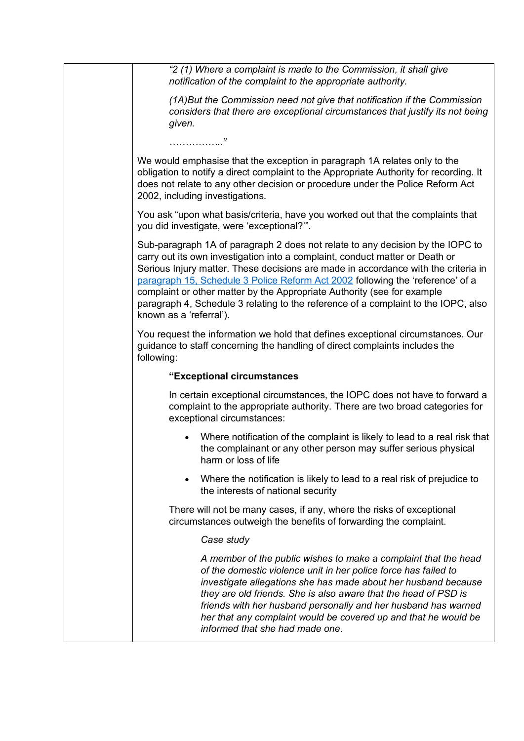| "2 (1) Where a complaint is made to the Commission, it shall give<br>notification of the complaint to the appropriate authority.                                                                                                                                                                                                                                                                                                                                                                                                   |
|------------------------------------------------------------------------------------------------------------------------------------------------------------------------------------------------------------------------------------------------------------------------------------------------------------------------------------------------------------------------------------------------------------------------------------------------------------------------------------------------------------------------------------|
| (1A) But the Commission need not give that notification if the Commission<br>considers that there are exceptional circumstances that justify its not being<br>given.<br>. "                                                                                                                                                                                                                                                                                                                                                        |
|                                                                                                                                                                                                                                                                                                                                                                                                                                                                                                                                    |
| We would emphasise that the exception in paragraph 1A relates only to the<br>obligation to notify a direct complaint to the Appropriate Authority for recording. It<br>does not relate to any other decision or procedure under the Police Reform Act<br>2002, including investigations.                                                                                                                                                                                                                                           |
| You ask "upon what basis/criteria, have you worked out that the complaints that<br>you did investigate, were 'exceptional?".                                                                                                                                                                                                                                                                                                                                                                                                       |
| Sub-paragraph 1A of paragraph 2 does not relate to any decision by the IOPC to<br>carry out its own investigation into a complaint, conduct matter or Death or<br>Serious Injury matter. These decisions are made in accordance with the criteria in<br>paragraph 15, Schedule 3 Police Reform Act 2002 following the 'reference' of a<br>complaint or other matter by the Appropriate Authority (see for example<br>paragraph 4, Schedule 3 relating to the reference of a complaint to the IOPC, also<br>known as a 'referral'). |
| You request the information we hold that defines exceptional circumstances. Our<br>guidance to staff concerning the handling of direct complaints includes the<br>following:                                                                                                                                                                                                                                                                                                                                                       |
| "Exceptional circumstances                                                                                                                                                                                                                                                                                                                                                                                                                                                                                                         |
| In certain exceptional circumstances, the IOPC does not have to forward a<br>complaint to the appropriate authority. There are two broad categories for<br>exceptional circumstances:                                                                                                                                                                                                                                                                                                                                              |
| Where notification of the complaint is likely to lead to a real risk that<br>the complainant or any other person may suffer serious physical<br>harm or loss of life                                                                                                                                                                                                                                                                                                                                                               |
| Where the notification is likely to lead to a real risk of prejudice to<br>$\bullet$<br>the interests of national security                                                                                                                                                                                                                                                                                                                                                                                                         |
| There will not be many cases, if any, where the risks of exceptional<br>circumstances outweigh the benefits of forwarding the complaint.                                                                                                                                                                                                                                                                                                                                                                                           |
| Case study                                                                                                                                                                                                                                                                                                                                                                                                                                                                                                                         |
| A member of the public wishes to make a complaint that the head<br>of the domestic violence unit in her police force has failed to<br>investigate allegations she has made about her husband because<br>they are old friends. She is also aware that the head of PSD is<br>friends with her husband personally and her husband has warned<br>her that any complaint would be covered up and that he would be<br>informed that she had made one.                                                                                    |
|                                                                                                                                                                                                                                                                                                                                                                                                                                                                                                                                    |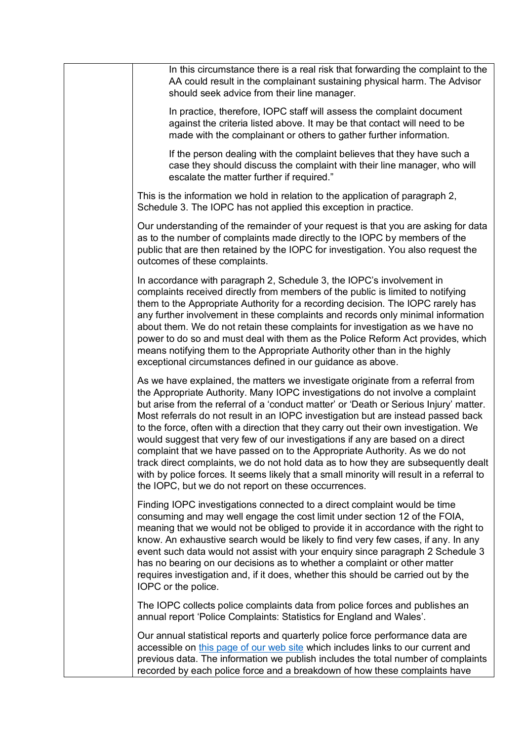| In this circumstance there is a real risk that forwarding the complaint to the<br>AA could result in the complainant sustaining physical harm. The Advisor<br>should seek advice from their line manager.                                                                                                                                                                                                                                                                                                                                                                                                                                                                                                                                                                                                                                            |
|------------------------------------------------------------------------------------------------------------------------------------------------------------------------------------------------------------------------------------------------------------------------------------------------------------------------------------------------------------------------------------------------------------------------------------------------------------------------------------------------------------------------------------------------------------------------------------------------------------------------------------------------------------------------------------------------------------------------------------------------------------------------------------------------------------------------------------------------------|
| In practice, therefore, IOPC staff will assess the complaint document<br>against the criteria listed above. It may be that contact will need to be<br>made with the complainant or others to gather further information.                                                                                                                                                                                                                                                                                                                                                                                                                                                                                                                                                                                                                             |
| If the person dealing with the complaint believes that they have such a<br>case they should discuss the complaint with their line manager, who will<br>escalate the matter further if required."                                                                                                                                                                                                                                                                                                                                                                                                                                                                                                                                                                                                                                                     |
| This is the information we hold in relation to the application of paragraph 2,<br>Schedule 3. The IOPC has not applied this exception in practice.                                                                                                                                                                                                                                                                                                                                                                                                                                                                                                                                                                                                                                                                                                   |
| Our understanding of the remainder of your request is that you are asking for data<br>as to the number of complaints made directly to the IOPC by members of the<br>public that are then retained by the IOPC for investigation. You also request the<br>outcomes of these complaints.                                                                                                                                                                                                                                                                                                                                                                                                                                                                                                                                                               |
| In accordance with paragraph 2, Schedule 3, the IOPC's involvement in<br>complaints received directly from members of the public is limited to notifying<br>them to the Appropriate Authority for a recording decision. The IOPC rarely has<br>any further involvement in these complaints and records only minimal information<br>about them. We do not retain these complaints for investigation as we have no<br>power to do so and must deal with them as the Police Reform Act provides, which<br>means notifying them to the Appropriate Authority other than in the highly<br>exceptional circumstances defined in our guidance as above.                                                                                                                                                                                                     |
| As we have explained, the matters we investigate originate from a referral from<br>the Appropriate Authority. Many IOPC investigations do not involve a complaint<br>but arise from the referral of a 'conduct matter' or 'Death or Serious Injury' matter.<br>Most referrals do not result in an IOPC investigation but are instead passed back<br>to the force, often with a direction that they carry out their own investigation. We<br>would suggest that very few of our investigations if any are based on a direct<br>complaint that we have passed on to the Appropriate Authority. As we do not<br>track direct complaints, we do not hold data as to how they are subsequently dealt<br>with by police forces. It seems likely that a small minority will result in a referral to<br>the IOPC, but we do not report on these occurrences. |
| Finding IOPC investigations connected to a direct complaint would be time<br>consuming and may well engage the cost limit under section 12 of the FOIA,<br>meaning that we would not be obliged to provide it in accordance with the right to<br>know. An exhaustive search would be likely to find very few cases, if any. In any<br>event such data would not assist with your enquiry since paragraph 2 Schedule 3<br>has no bearing on our decisions as to whether a complaint or other matter<br>requires investigation and, if it does, whether this should be carried out by the<br>IOPC or the police.                                                                                                                                                                                                                                       |
| The IOPC collects police complaints data from police forces and publishes an<br>annual report 'Police Complaints: Statistics for England and Wales'.                                                                                                                                                                                                                                                                                                                                                                                                                                                                                                                                                                                                                                                                                                 |
| Our annual statistical reports and quarterly police force performance data are<br>accessible on this page of our web site which includes links to our current and<br>previous data. The information we publish includes the total number of complaints<br>recorded by each police force and a breakdown of how these complaints have                                                                                                                                                                                                                                                                                                                                                                                                                                                                                                                 |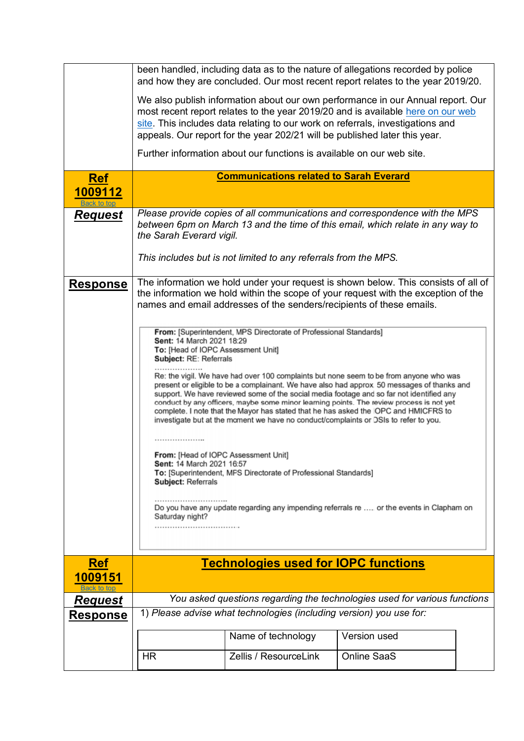<span id="page-9-1"></span><span id="page-9-0"></span>

|                                      |                                                                                                                                                                                                                                                                                                                                                                                                                                                                                                                                                                                                                                                                                                                                                                                                                                                                                                                                                                                                                             |                                                                            | been handled, including data as to the nature of allegations recorded by police<br>and how they are concluded. Our most recent report relates to the year 2019/20.                                                                                   |  |
|--------------------------------------|-----------------------------------------------------------------------------------------------------------------------------------------------------------------------------------------------------------------------------------------------------------------------------------------------------------------------------------------------------------------------------------------------------------------------------------------------------------------------------------------------------------------------------------------------------------------------------------------------------------------------------------------------------------------------------------------------------------------------------------------------------------------------------------------------------------------------------------------------------------------------------------------------------------------------------------------------------------------------------------------------------------------------------|----------------------------------------------------------------------------|------------------------------------------------------------------------------------------------------------------------------------------------------------------------------------------------------------------------------------------------------|--|
|                                      |                                                                                                                                                                                                                                                                                                                                                                                                                                                                                                                                                                                                                                                                                                                                                                                                                                                                                                                                                                                                                             | appeals. Our report for the year 202/21 will be published later this year. | We also publish information about our own performance in our Annual report. Our<br>most recent report relates to the year 2019/20 and is available here on our web<br>site. This includes data relating to our work on referrals, investigations and |  |
|                                      |                                                                                                                                                                                                                                                                                                                                                                                                                                                                                                                                                                                                                                                                                                                                                                                                                                                                                                                                                                                                                             | Further information about our functions is available on our web site.      |                                                                                                                                                                                                                                                      |  |
| <b>Ref</b>                           |                                                                                                                                                                                                                                                                                                                                                                                                                                                                                                                                                                                                                                                                                                                                                                                                                                                                                                                                                                                                                             | <b>Communications related to Sarah Everard</b>                             |                                                                                                                                                                                                                                                      |  |
| <u>1009112</u><br><b>Back to top</b> |                                                                                                                                                                                                                                                                                                                                                                                                                                                                                                                                                                                                                                                                                                                                                                                                                                                                                                                                                                                                                             |                                                                            |                                                                                                                                                                                                                                                      |  |
| <b>Request</b>                       | the Sarah Everard vigil.                                                                                                                                                                                                                                                                                                                                                                                                                                                                                                                                                                                                                                                                                                                                                                                                                                                                                                                                                                                                    |                                                                            | Please provide copies of all communications and correspondence with the MPS<br>between 6pm on March 13 and the time of this email, which relate in any way to                                                                                        |  |
|                                      |                                                                                                                                                                                                                                                                                                                                                                                                                                                                                                                                                                                                                                                                                                                                                                                                                                                                                                                                                                                                                             | This includes but is not limited to any referrals from the MPS.            |                                                                                                                                                                                                                                                      |  |
| <b>Response</b>                      | The information we hold under your request is shown below. This consists of all of<br>the information we hold within the scope of your request with the exception of the<br>names and email addresses of the senders/recipients of these emails.                                                                                                                                                                                                                                                                                                                                                                                                                                                                                                                                                                                                                                                                                                                                                                            |                                                                            |                                                                                                                                                                                                                                                      |  |
|                                      | From: [Superintendent, MPS Directorate of Professional Standards]<br>Sent: 14 March 2021 18:29<br>To: [Head of IOPC Assessment Unit]<br>Subject: RE: Referrals<br>Re: the vigil. We have had over 100 complaints but none seem to be from anyone who was<br>present or eligible to be a complainant. We have also had approx 50 messages of thanks and<br>support. We have reviewed some of the social media footage and so far not identified any<br>conduct by any officers, maybe some minor learning points. The review process is not yet<br>complete. I note that the Mayor has stated that he has asked the IOPC and HMICFRS to<br>investigate but at the moment we have no conduct/complaints or DSIs to refer to you.<br><b>.</b><br>From: [Head of IOPC Assessment Unit]<br>Sent: 14 March 2021 16:57<br>To: [Superintendent, MFS Directorate of Professional Standards]<br>Subject: Referrals<br>Do you have any update regarding any impending referrals re  or the events in Clapham on<br>Saturday night?<br> |                                                                            |                                                                                                                                                                                                                                                      |  |
| <b>Ref</b>                           | <b>Technologies used for IOPC functions</b>                                                                                                                                                                                                                                                                                                                                                                                                                                                                                                                                                                                                                                                                                                                                                                                                                                                                                                                                                                                 |                                                                            |                                                                                                                                                                                                                                                      |  |
| 1009151                              |                                                                                                                                                                                                                                                                                                                                                                                                                                                                                                                                                                                                                                                                                                                                                                                                                                                                                                                                                                                                                             |                                                                            |                                                                                                                                                                                                                                                      |  |
| <b>Request</b>                       |                                                                                                                                                                                                                                                                                                                                                                                                                                                                                                                                                                                                                                                                                                                                                                                                                                                                                                                                                                                                                             |                                                                            | You asked questions regarding the technologies used for various functions                                                                                                                                                                            |  |
| <u>Response</u>                      |                                                                                                                                                                                                                                                                                                                                                                                                                                                                                                                                                                                                                                                                                                                                                                                                                                                                                                                                                                                                                             | 1) Please advise what technologies (including version) you use for:        |                                                                                                                                                                                                                                                      |  |
|                                      |                                                                                                                                                                                                                                                                                                                                                                                                                                                                                                                                                                                                                                                                                                                                                                                                                                                                                                                                                                                                                             | Name of technology                                                         | Version used                                                                                                                                                                                                                                         |  |
|                                      | <b>HR</b>                                                                                                                                                                                                                                                                                                                                                                                                                                                                                                                                                                                                                                                                                                                                                                                                                                                                                                                                                                                                                   | Zellis / ResourceLink                                                      | <b>Online SaaS</b>                                                                                                                                                                                                                                   |  |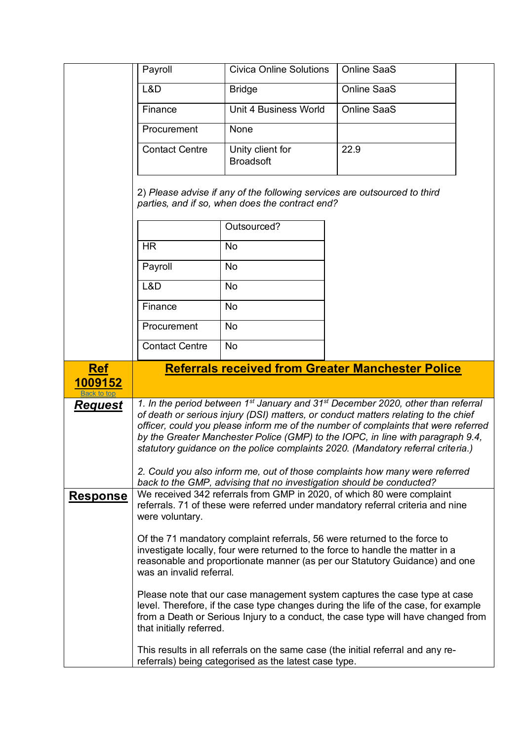<span id="page-10-0"></span>

|                                      | Payroll                                                                                                                      | <b>Civica Online Solutions</b>                                       | <b>Online SaaS</b>                                                                                                                                                                                                                                                                                                                                                                                                                                                                                                                         |  |
|--------------------------------------|------------------------------------------------------------------------------------------------------------------------------|----------------------------------------------------------------------|--------------------------------------------------------------------------------------------------------------------------------------------------------------------------------------------------------------------------------------------------------------------------------------------------------------------------------------------------------------------------------------------------------------------------------------------------------------------------------------------------------------------------------------------|--|
|                                      | L&D                                                                                                                          | <b>Bridge</b>                                                        | <b>Online SaaS</b>                                                                                                                                                                                                                                                                                                                                                                                                                                                                                                                         |  |
|                                      | Finance                                                                                                                      | Unit 4 Business World                                                | <b>Online SaaS</b>                                                                                                                                                                                                                                                                                                                                                                                                                                                                                                                         |  |
|                                      | Procurement                                                                                                                  | None                                                                 |                                                                                                                                                                                                                                                                                                                                                                                                                                                                                                                                            |  |
|                                      | <b>Contact Centre</b>                                                                                                        | Unity client for<br><b>Broadsoft</b>                                 | 22.9                                                                                                                                                                                                                                                                                                                                                                                                                                                                                                                                       |  |
|                                      | 2) Please advise if any of the following services are outsourced to third<br>parties, and if so, when does the contract end? |                                                                      |                                                                                                                                                                                                                                                                                                                                                                                                                                                                                                                                            |  |
|                                      |                                                                                                                              | Outsourced?                                                          |                                                                                                                                                                                                                                                                                                                                                                                                                                                                                                                                            |  |
|                                      | <b>HR</b>                                                                                                                    | No                                                                   |                                                                                                                                                                                                                                                                                                                                                                                                                                                                                                                                            |  |
|                                      | Payroll                                                                                                                      | No                                                                   |                                                                                                                                                                                                                                                                                                                                                                                                                                                                                                                                            |  |
|                                      | L&D                                                                                                                          | No                                                                   |                                                                                                                                                                                                                                                                                                                                                                                                                                                                                                                                            |  |
|                                      | Finance                                                                                                                      | No                                                                   |                                                                                                                                                                                                                                                                                                                                                                                                                                                                                                                                            |  |
|                                      | Procurement                                                                                                                  | <b>No</b>                                                            |                                                                                                                                                                                                                                                                                                                                                                                                                                                                                                                                            |  |
|                                      | <b>Contact Centre</b>                                                                                                        | No                                                                   |                                                                                                                                                                                                                                                                                                                                                                                                                                                                                                                                            |  |
|                                      |                                                                                                                              |                                                                      |                                                                                                                                                                                                                                                                                                                                                                                                                                                                                                                                            |  |
| <b>Ref</b>                           |                                                                                                                              |                                                                      | <b>Referrals received from Greater Manchester Police</b>                                                                                                                                                                                                                                                                                                                                                                                                                                                                                   |  |
| <u> 1009152</u>                      |                                                                                                                              |                                                                      |                                                                                                                                                                                                                                                                                                                                                                                                                                                                                                                                            |  |
| <b>Back to top</b><br><u>Request</u> |                                                                                                                              |                                                                      | 1. In the period between 1 <sup>st</sup> January and 31 <sup>st</sup> December 2020, other than referral<br>of death or serious injury (DSI) matters, or conduct matters relating to the chief<br>officer, could you please inform me of the number of complaints that were referred<br>by the Greater Manchester Police (GMP) to the IOPC, in line with paragraph 9.4,<br>statutory guidance on the police complaints 2020. (Mandatory referral criteria.)<br>2. Could you also inform me, out of those complaints how many were referred |  |
| <b>Response</b>                      | were voluntary.                                                                                                              | back to the GMP, advising that no investigation should be conducted? | We received 342 referrals from GMP in 2020, of which 80 were complaint<br>referrals. 71 of these were referred under mandatory referral criteria and nine                                                                                                                                                                                                                                                                                                                                                                                  |  |
|                                      | was an invalid referral.                                                                                                     |                                                                      | Of the 71 mandatory complaint referrals, 56 were returned to the force to<br>investigate locally, four were returned to the force to handle the matter in a<br>reasonable and proportionate manner (as per our Statutory Guidance) and one                                                                                                                                                                                                                                                                                                 |  |
|                                      | that initially referred.                                                                                                     |                                                                      | Please note that our case management system captures the case type at case<br>level. Therefore, if the case type changes during the life of the case, for example<br>from a Death or Serious Injury to a conduct, the case type will have changed from                                                                                                                                                                                                                                                                                     |  |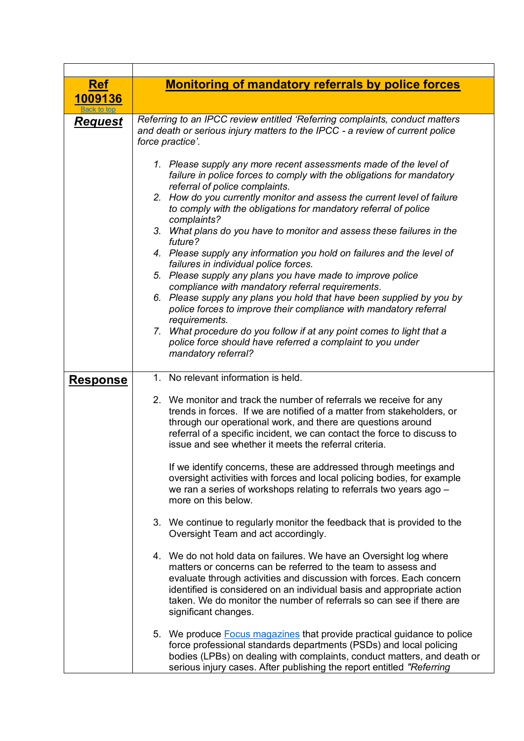<span id="page-11-0"></span>

| <b>Ref</b>      | <b>Monitoring of mandatory referrals by police forces</b>                                                                                                                                                                                                                                                                                                                             |  |  |  |
|-----------------|---------------------------------------------------------------------------------------------------------------------------------------------------------------------------------------------------------------------------------------------------------------------------------------------------------------------------------------------------------------------------------------|--|--|--|
| 1009136         |                                                                                                                                                                                                                                                                                                                                                                                       |  |  |  |
|                 | Referring to an IPCC review entitled 'Referring complaints, conduct matters                                                                                                                                                                                                                                                                                                           |  |  |  |
| <b>Request</b>  | and death or serious injury matters to the IPCC - a review of current police<br>force practice'.                                                                                                                                                                                                                                                                                      |  |  |  |
|                 | 1. Please supply any more recent assessments made of the level of<br>failure in police forces to comply with the obligations for mandatory<br>referral of police complaints.<br>2. How do you currently monitor and assess the current level of failure<br>to comply with the obligations for mandatory referral of police                                                            |  |  |  |
|                 | complaints?<br>3. What plans do you have to monitor and assess these failures in the<br>future?                                                                                                                                                                                                                                                                                       |  |  |  |
|                 | 4. Please supply any information you hold on failures and the level of<br>failures in individual police forces.                                                                                                                                                                                                                                                                       |  |  |  |
|                 | 5. Please supply any plans you have made to improve police<br>compliance with mandatory referral requirements.                                                                                                                                                                                                                                                                        |  |  |  |
|                 | 6. Please supply any plans you hold that have been supplied by you by<br>police forces to improve their compliance with mandatory referral<br>requirements.                                                                                                                                                                                                                           |  |  |  |
|                 | 7. What procedure do you follow if at any point comes to light that a<br>police force should have referred a complaint to you under<br>mandatory referral?                                                                                                                                                                                                                            |  |  |  |
| <b>Response</b> | 1. No relevant information is held.                                                                                                                                                                                                                                                                                                                                                   |  |  |  |
|                 | 2. We monitor and track the number of referrals we receive for any<br>trends in forces. If we are notified of a matter from stakeholders, or<br>through our operational work, and there are questions around<br>referral of a specific incident, we can contact the force to discuss to<br>issue and see whether it meets the referral criteria.                                      |  |  |  |
|                 | If we identify concerns, these are addressed through meetings and<br>oversight activities with forces and local policing bodies, for example<br>we ran a series of workshops relating to referrals two years ago -<br>more on this below.                                                                                                                                             |  |  |  |
|                 | 3. We continue to regularly monitor the feedback that is provided to the<br>Oversight Team and act accordingly.                                                                                                                                                                                                                                                                       |  |  |  |
|                 | 4. We do not hold data on failures. We have an Oversight log where<br>matters or concerns can be referred to the team to assess and<br>evaluate through activities and discussion with forces. Each concern<br>identified is considered on an individual basis and appropriate action<br>taken. We do monitor the number of referrals so can see if there are<br>significant changes. |  |  |  |
|                 | 5. We produce Focus magazines that provide practical guidance to police<br>force professional standards departments (PSDs) and local policing<br>bodies (LPBs) on dealing with complaints, conduct matters, and death or<br>serious injury cases. After publishing the report entitled "Referring                                                                                     |  |  |  |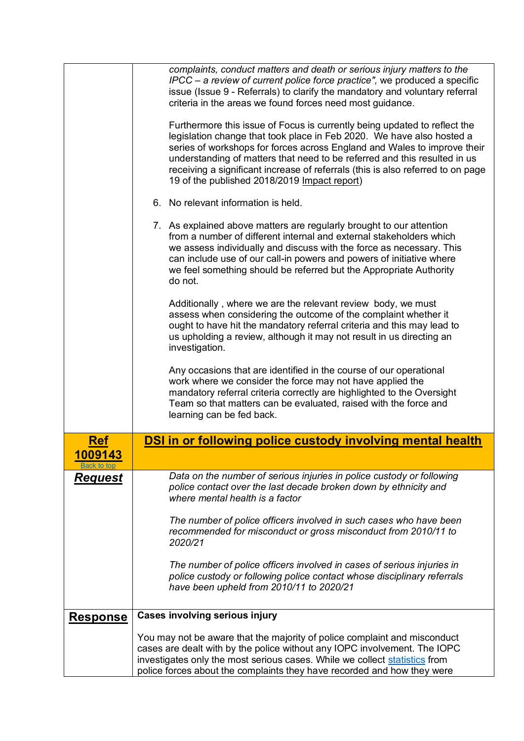<span id="page-12-0"></span>

| complaints, conduct matters and death or serious injury matters to the<br>$\text{IPCC}-a$ review of current police force practice", we produced a specific<br>issue (Issue 9 - Referrals) to clarify the mandatory and voluntary referral<br>criteria in the areas we found forces need most guidance.                                                                       |  |
|------------------------------------------------------------------------------------------------------------------------------------------------------------------------------------------------------------------------------------------------------------------------------------------------------------------------------------------------------------------------------|--|
| Furthermore this issue of Focus is currently being updated to reflect the                                                                                                                                                                                                                                                                                                    |  |
| legislation change that took place in Feb 2020. We have also hosted a<br>series of workshops for forces across England and Wales to improve their<br>understanding of matters that need to be referred and this resulted in us<br>receiving a significant increase of referrals (this is also referred to on page<br>19 of the published 2018/2019 Impact report)            |  |
| 6. No relevant information is held.                                                                                                                                                                                                                                                                                                                                          |  |
| 7. As explained above matters are regularly brought to our attention<br>from a number of different internal and external stakeholders which<br>we assess individually and discuss with the force as necessary. This<br>can include use of our call-in powers and powers of initiative where<br>we feel something should be referred but the Appropriate Authority<br>do not. |  |
| Additionally, where we are the relevant review body, we must<br>assess when considering the outcome of the complaint whether it<br>ought to have hit the mandatory referral criteria and this may lead to<br>us upholding a review, although it may not result in us directing an<br>investigation.                                                                          |  |
| Any occasions that are identified in the course of our operational<br>work where we consider the force may not have applied the<br>mandatory referral criteria correctly are highlighted to the Oversight<br>Team so that matters can be evaluated, raised with the force and<br>learning can be fed back.                                                                   |  |
| DSI in or following police custody involving mental health<br>Ref                                                                                                                                                                                                                                                                                                            |  |
| 1009143                                                                                                                                                                                                                                                                                                                                                                      |  |
| Data on the number of serious injuries in police custody or following<br><b>Request</b><br>police contact over the last decade broken down by ethnicity and<br>where mental health is a factor                                                                                                                                                                               |  |
| The number of police officers involved in such cases who have been<br>recommended for misconduct or gross misconduct from 2010/11 to<br>2020/21                                                                                                                                                                                                                              |  |
| The number of police officers involved in cases of serious injuries in<br>police custody or following police contact whose disciplinary referrals<br>have been upheld from 2010/11 to 2020/21                                                                                                                                                                                |  |
| <b>Cases involving serious injury</b><br><b>Response</b>                                                                                                                                                                                                                                                                                                                     |  |
| You may not be aware that the majority of police complaint and misconduct<br>cases are dealt with by the police without any IOPC involvement. The IOPC<br>investigates only the most serious cases. While we collect statistics from<br>police forces about the complaints they have recorded and how they were                                                              |  |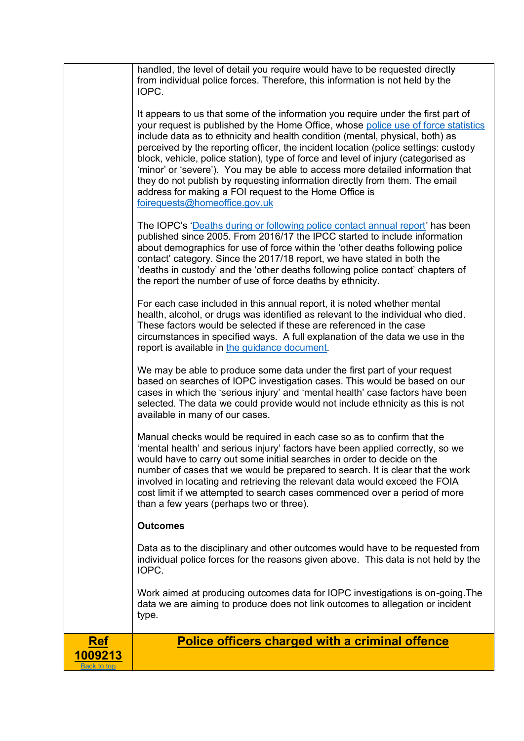<span id="page-13-0"></span>

|                        | handled, the level of detail you require would have to be requested directly<br>from individual police forces. Therefore, this information is not held by the<br>IOPC.<br>It appears to us that some of the information you require under the first part of<br>your request is published by the Home Office, whose police use of force statistics<br>include data as to ethnicity and health condition (mental, physical, both) as                                                                                             |
|------------------------|--------------------------------------------------------------------------------------------------------------------------------------------------------------------------------------------------------------------------------------------------------------------------------------------------------------------------------------------------------------------------------------------------------------------------------------------------------------------------------------------------------------------------------|
|                        | perceived by the reporting officer, the incident location (police settings: custody<br>block, vehicle, police station), type of force and level of injury (categorised as<br>'minor' or 'severe'). You may be able to access more detailed information that<br>they do not publish by requesting information directly from them. The email<br>address for making a FOI request to the Home Office is<br>foirequests@homeoffice.gov.uk                                                                                          |
|                        | The IOPC's 'Deaths during or following police contact annual report' has been<br>published since 2005. From 2016/17 the IPCC started to include information<br>about demographics for use of force within the 'other deaths following police<br>contact' category. Since the 2017/18 report, we have stated in both the<br>'deaths in custody' and the 'other deaths following police contact' chapters of<br>the report the number of use of force deaths by ethnicity.                                                       |
|                        | For each case included in this annual report, it is noted whether mental<br>health, alcohol, or drugs was identified as relevant to the individual who died.<br>These factors would be selected if these are referenced in the case<br>circumstances in specified ways. A full explanation of the data we use in the<br>report is available in the guidance document.                                                                                                                                                          |
|                        | We may be able to produce some data under the first part of your request<br>based on searches of IOPC investigation cases. This would be based on our<br>cases in which the 'serious injury' and 'mental health' case factors have been<br>selected. The data we could provide would not include ethnicity as this is not<br>available in many of our cases.                                                                                                                                                                   |
|                        | Manual checks would be required in each case so as to confirm that the<br>'mental health' and serious injury' factors have been applied correctly, so we<br>would have to carry out some initial searches in order to decide on the<br>number of cases that we would be prepared to search. It is clear that the work<br>involved in locating and retrieving the relevant data would exceed the FOIA<br>cost limit if we attempted to search cases commenced over a period of more<br>than a few years (perhaps two or three). |
|                        | <b>Outcomes</b>                                                                                                                                                                                                                                                                                                                                                                                                                                                                                                                |
|                        | Data as to the disciplinary and other outcomes would have to be requested from<br>individual police forces for the reasons given above. This data is not held by the<br>IOPC.                                                                                                                                                                                                                                                                                                                                                  |
|                        | Work aimed at producing outcomes data for IOPC investigations is on-going. The<br>data we are aiming to produce does not link outcomes to allegation or incident<br>type.                                                                                                                                                                                                                                                                                                                                                      |
| <u>Ref</u>             | <b>Police officers charged with a criminal offence</b>                                                                                                                                                                                                                                                                                                                                                                                                                                                                         |
| 1009213<br>Back to top |                                                                                                                                                                                                                                                                                                                                                                                                                                                                                                                                |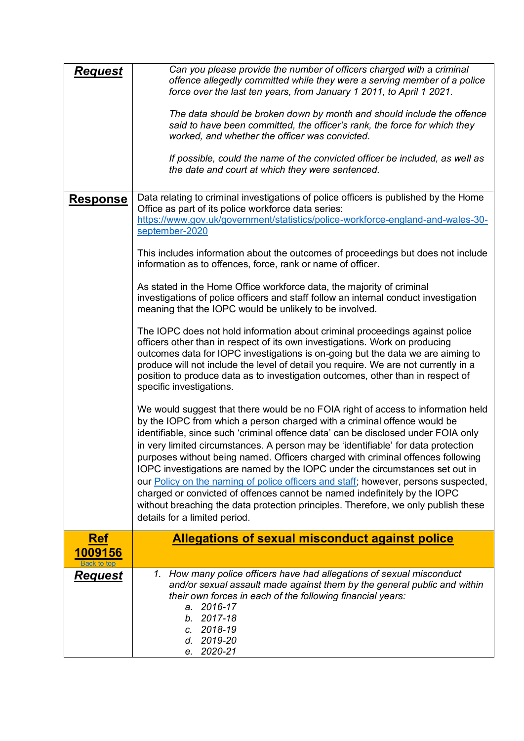<span id="page-14-0"></span>

| <b>Request</b>        | Can you please provide the number of officers charged with a criminal<br>offence allegedly committed while they were a serving member of a police<br>force over the last ten years, from January 1 2011, to April 1 2021.<br>The data should be broken down by month and should include the offence<br>said to have been committed, the officer's rank, the force for which they<br>worked, and whether the officer was convicted.<br>If possible, could the name of the convicted officer be included, as well as<br>the date and court at which they were sentenced.                                                                                                                                                                                                                                                                                                                                                                                                                                                                                                                                                                                                                                                                                                                                                                                                                                                                                                                                                                                                                                                                                                                                                                                                                                                                                                                         |
|-----------------------|------------------------------------------------------------------------------------------------------------------------------------------------------------------------------------------------------------------------------------------------------------------------------------------------------------------------------------------------------------------------------------------------------------------------------------------------------------------------------------------------------------------------------------------------------------------------------------------------------------------------------------------------------------------------------------------------------------------------------------------------------------------------------------------------------------------------------------------------------------------------------------------------------------------------------------------------------------------------------------------------------------------------------------------------------------------------------------------------------------------------------------------------------------------------------------------------------------------------------------------------------------------------------------------------------------------------------------------------------------------------------------------------------------------------------------------------------------------------------------------------------------------------------------------------------------------------------------------------------------------------------------------------------------------------------------------------------------------------------------------------------------------------------------------------------------------------------------------------------------------------------------------------|
| <b>Response</b>       | Data relating to criminal investigations of police officers is published by the Home<br>Office as part of its police workforce data series:<br>https://www.gov.uk/government/statistics/police-workforce-england-and-wales-30-<br>september-2020<br>This includes information about the outcomes of proceedings but does not include<br>information as to offences, force, rank or name of officer.<br>As stated in the Home Office workforce data, the majority of criminal<br>investigations of police officers and staff follow an internal conduct investigation<br>meaning that the IOPC would be unlikely to be involved.<br>The IOPC does not hold information about criminal proceedings against police<br>officers other than in respect of its own investigations. Work on producing<br>outcomes data for IOPC investigations is on-going but the data we are aiming to<br>produce will not include the level of detail you require. We are not currently in a<br>position to produce data as to investigation outcomes, other than in respect of<br>specific investigations.<br>We would suggest that there would be no FOIA right of access to information held<br>by the IOPC from which a person charged with a criminal offence would be<br>identifiable, since such 'criminal offence data' can be disclosed under FOIA only<br>in very limited circumstances. A person may be 'identifiable' for data protection<br>purposes without being named. Officers charged with criminal offences following<br>IOPC investigations are named by the IOPC under the circumstances set out in<br>our Policy on the naming of police officers and staff; however, persons suspected,<br>charged or convicted of offences cannot be named indefinitely by the IOPC<br>without breaching the data protection principles. Therefore, we only publish these<br>details for a limited period. |
| <b>Ref</b><br>1009156 | <b>Allegations of sexual misconduct against police</b>                                                                                                                                                                                                                                                                                                                                                                                                                                                                                                                                                                                                                                                                                                                                                                                                                                                                                                                                                                                                                                                                                                                                                                                                                                                                                                                                                                                                                                                                                                                                                                                                                                                                                                                                                                                                                                         |
|                       | 1. How many police officers have had allegations of sexual misconduct                                                                                                                                                                                                                                                                                                                                                                                                                                                                                                                                                                                                                                                                                                                                                                                                                                                                                                                                                                                                                                                                                                                                                                                                                                                                                                                                                                                                                                                                                                                                                                                                                                                                                                                                                                                                                          |
| <u>Request</u>        | and/or sexual assault made against them by the general public and within<br>their own forces in each of the following financial years:<br>a. 2016-17<br>2017-18<br>b.<br>2018-19<br>C.<br>2019-20<br>d.<br>2020-21<br>e.                                                                                                                                                                                                                                                                                                                                                                                                                                                                                                                                                                                                                                                                                                                                                                                                                                                                                                                                                                                                                                                                                                                                                                                                                                                                                                                                                                                                                                                                                                                                                                                                                                                                       |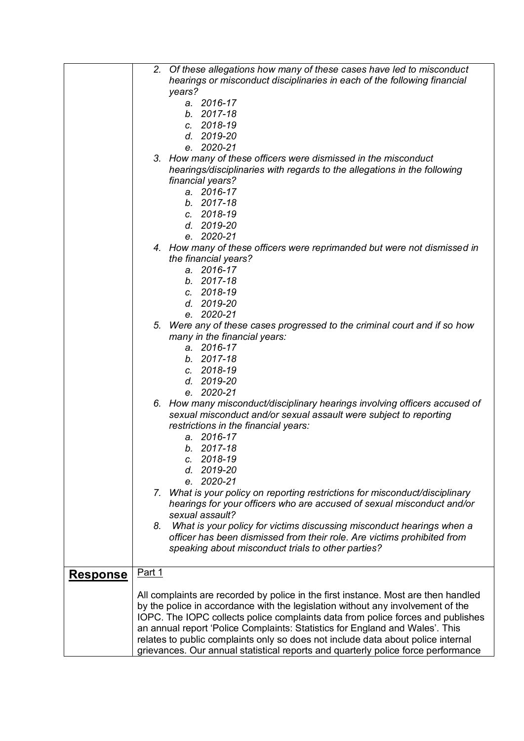|                 | 2. Of these allegations how many of these cases have led to misconduct<br>hearings or misconduct disciplinaries in each of the following financial |
|-----------------|----------------------------------------------------------------------------------------------------------------------------------------------------|
|                 | years?                                                                                                                                             |
|                 | a. 2016-17                                                                                                                                         |
|                 | b. 2017-18                                                                                                                                         |
|                 | 2018-19<br>C.                                                                                                                                      |
|                 | d. 2019-20                                                                                                                                         |
|                 | e. 2020-21                                                                                                                                         |
|                 | 3. How many of these officers were dismissed in the misconduct                                                                                     |
|                 | hearings/disciplinaries with regards to the allegations in the following                                                                           |
|                 | financial years?                                                                                                                                   |
|                 | a. 2016-17                                                                                                                                         |
|                 | b. 2017-18                                                                                                                                         |
|                 | c. 2018-19                                                                                                                                         |
|                 | d. 2019-20                                                                                                                                         |
|                 | e. 2020-21                                                                                                                                         |
|                 | 4. How many of these officers were reprimanded but were not dismissed in                                                                           |
|                 | the financial years?                                                                                                                               |
|                 | a. 2016-17                                                                                                                                         |
|                 | b. 2017-18                                                                                                                                         |
|                 | c. 2018-19                                                                                                                                         |
|                 | d. 2019-20                                                                                                                                         |
|                 | e. 2020-21                                                                                                                                         |
|                 | 5. Were any of these cases progressed to the criminal court and if so how                                                                          |
|                 | many in the financial years:                                                                                                                       |
|                 | a. 2016-17                                                                                                                                         |
|                 | b. 2017-18                                                                                                                                         |
|                 | c. 2018-19                                                                                                                                         |
|                 | d. 2019-20                                                                                                                                         |
|                 | e. 2020-21                                                                                                                                         |
|                 | 6. How many misconduct/disciplinary hearings involving officers accused of                                                                         |
|                 | sexual misconduct and/or sexual assault were subject to reporting                                                                                  |
|                 | restrictions in the financial years:                                                                                                               |
|                 | a. 2016-17                                                                                                                                         |
|                 | $b. 2017 - 18$                                                                                                                                     |
|                 | c. 2018-19                                                                                                                                         |
|                 | d. 2019-20                                                                                                                                         |
|                 | 2020-21<br>e.                                                                                                                                      |
|                 | What is your policy on reporting restrictions for misconduct/disciplinary<br>7.                                                                    |
|                 | hearings for your officers who are accused of sexual misconduct and/or                                                                             |
|                 | sexual assault?                                                                                                                                    |
|                 | What is your policy for victims discussing misconduct hearings when a<br>8.                                                                        |
|                 | officer has been dismissed from their role. Are victims prohibited from                                                                            |
|                 | speaking about misconduct trials to other parties?                                                                                                 |
|                 |                                                                                                                                                    |
| <b>Response</b> | Part 1                                                                                                                                             |
|                 |                                                                                                                                                    |
|                 | All complaints are recorded by police in the first instance. Most are then handled                                                                 |
|                 | by the police in accordance with the legislation without any involvement of the                                                                    |
|                 | IOPC. The IOPC collects police complaints data from police forces and publishes                                                                    |
|                 | an annual report 'Police Complaints: Statistics for England and Wales'. This                                                                       |
|                 | relates to public complaints only so does not include data about police internal                                                                   |
|                 | grievances. Our annual statistical reports and quarterly police force performance                                                                  |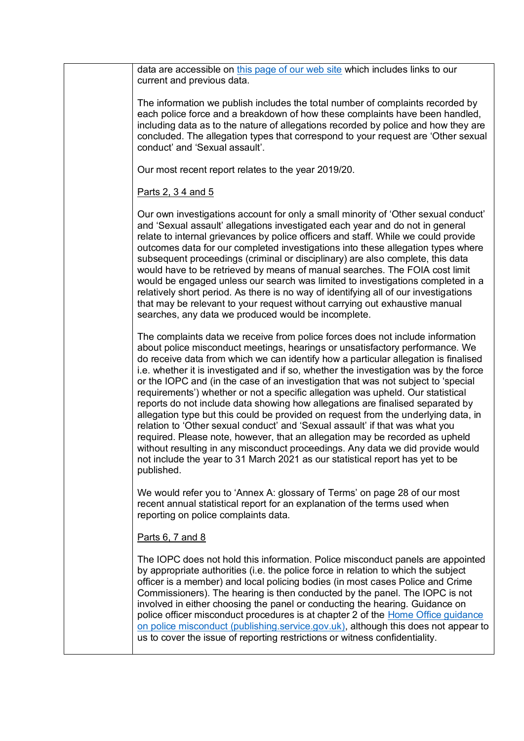data are accessible on [this page of our web site](https://www.policeconduct.gov.uk/research-and-learning/statistics/police-complaints-statistics) which includes links to our current and previous data.

The information we publish includes the total number of complaints recorded by each police force and a breakdown of how these complaints have been handled, including data as to the nature of allegations recorded by police and how they are concluded. The allegation types that correspond to your request are 'Other sexual conduct' and 'Sexual assault'.

Our most recent report relates to the year 2019/20.

## Parts 2, 3 4 and 5

Our own investigations account for only a small minority of 'Other sexual conduct' and 'Sexual assault' allegations investigated each year and do not in general relate to internal grievances by police officers and staff. While we could provide outcomes data for our completed investigations into these allegation types where subsequent proceedings (criminal or disciplinary) are also complete, this data would have to be retrieved by means of manual searches. The FOIA cost limit would be engaged unless our search was limited to investigations completed in a relatively short period. As there is no way of identifying all of our investigations that may be relevant to your request without carrying out exhaustive manual searches, any data we produced would be incomplete.

The complaints data we receive from police forces does not include information about police misconduct meetings, hearings or unsatisfactory performance. We do receive data from which we can identify how a particular allegation is finalised i.e. whether it is investigated and if so, whether the investigation was by the force or the IOPC and (in the case of an investigation that was not subject to 'special requirements') whether or not a specific allegation was upheld. Our statistical reports do not include data showing how allegations are finalised separated by allegation type but this could be provided on request from the underlying data, in relation to 'Other sexual conduct' and 'Sexual assault' if that was what you required. Please note, however, that an allegation may be recorded as upheld without resulting in any misconduct proceedings. Any data we did provide would not include the year to 31 March 2021 as our statistical report has yet to be published.

We would refer you to 'Annex A: glossary of Terms' on page 28 of our most recent annual statistical report for an explanation of the terms used when reporting on police complaints data.

Parts 6, 7 and 8

The IOPC does not hold this information. Police misconduct panels are appointed by appropriate authorities (i.e. the police force in relation to which the subject officer is a member) and local policing bodies (in most cases Police and Crime Commissioners). The hearing is then conducted by the panel. The IOPC is not involved in either choosing the panel or conducting the hearing. Guidance on police officer misconduct procedures is at chapter 2 of the [Home Office guidance](https://assets.publishing.service.gov.uk/government/uploads/system/uploads/attachment_data/file/895928/Home_Office_Guidance_on_Police_Misconduct.pdf)  [on police misconduct \(publishing.service.gov.uk\),](https://assets.publishing.service.gov.uk/government/uploads/system/uploads/attachment_data/file/895928/Home_Office_Guidance_on_Police_Misconduct.pdf) although this does not appear to us to cover the issue of reporting restrictions or witness confidentiality.